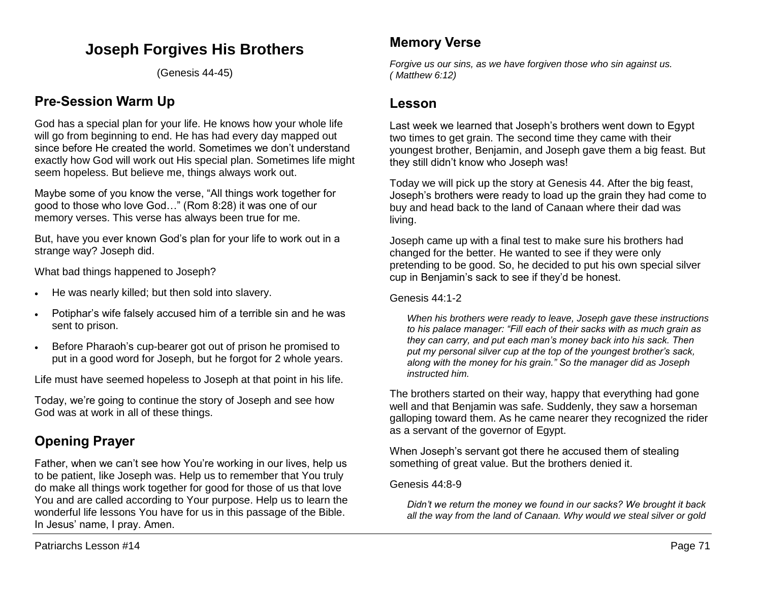# **Joseph Forgives His Brothers**

(Genesis 44-45)

# **Pre-Session Warm Up**

God has a special plan for your life. He knows how your whole life will go from beginning to end. He has had every day mapped out since before He created the world. Sometimes we don't understand exactly how God will work out His special plan. Sometimes life might seem hopeless. But believe me, things always work out.

Maybe some of you know the verse, "All things work together for good to those who love God…" (Rom 8:28) it was one of our memory verses. This verse has always been true for me.

But, have you ever known God's plan for your life to work out in a strange way? Joseph did.

What bad things happened to Joseph?

- He was nearly killed; but then sold into slavery.
- Potiphar's wife falsely accused him of a terrible sin and he was sent to prison.
- Before Pharaoh's cup-bearer got out of prison he promised to put in a good word for Joseph, but he forgot for 2 whole years.

Life must have seemed hopeless to Joseph at that point in his life.

Today, we're going to continue the story of Joseph and see how God was at work in all of these things.

# **Opening Prayer**

Father, when we can't see how You're working in our lives, help us to be patient, like Joseph was. Help us to remember that You truly do make all things work together for good for those of us that love You and are called according to Your purpose. Help us to learn the wonderful life lessons You have for us in this passage of the Bible. In Jesus' name, I pray. Amen.

*Forgive us our sins, as we have forgiven those who sin against us. ( Matthew 6:12)*

# **Lesson**

Last week we learned that Joseph's brothers went down to Egypt two times to get grain. The second time they came with their youngest brother, Benjamin, and Joseph gave them a big feast. But they still didn't know who Joseph was!

Today we will pick up the story at Genesis 44. After the big feast, Joseph's brothers were ready to load up the grain they had come to buy and head back to the land of Canaan where their dad was living.

Joseph came up with a final test to make sure his brothers had changed for the better. He wanted to see if they were only pretending to be good. So, he decided to put his own special silver cup in Benjamin's sack to see if they'd be honest.

### Genesis 44:1-2

*When his brothers were ready to leave, Joseph gave these instructions to his palace manager: "Fill each of their sacks with as much grain as they can carry, and put each man's money back into his sack. Then put my personal silver cup at the top of the youngest brother's sack, along with the money for his grain." So the manager did as Joseph instructed him.* 

The brothers started on their way, happy that everything had gone well and that Benjamin was safe. Suddenly, they saw a horseman galloping toward them. As he came nearer they recognized the rider as a servant of the governor of Egypt.

When Joseph's servant got there he accused them of stealing something of great value. But the brothers denied it.

### Genesis 44:8-9

*Didn't we return the money we found in our sacks? We brought it back all the way from the land of Canaan. Why would we steal silver or gold*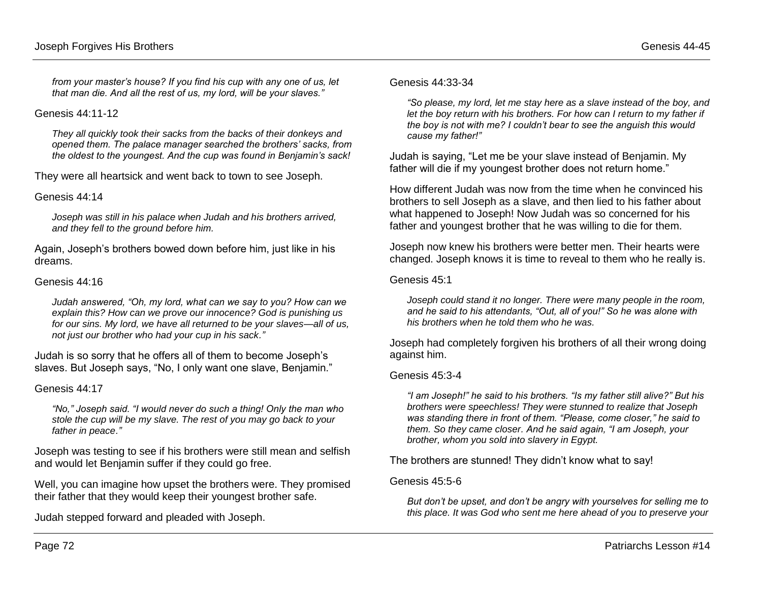*from your master's house? If you find his cup with any one of us, let that man die. And all the rest of us, my lord, will be your slaves."* 

#### Genesis 44:11-12

*They all quickly took their sacks from the backs of their donkeys and opened them. The palace manager searched the brothers' sacks, from the oldest to the youngest. And the cup was found in Benjamin's sack!* 

They were all heartsick and went back to town to see Joseph.

#### Genesis 44:14

*Joseph was still in his palace when Judah and his brothers arrived, and they fell to the ground before him.*

Again, Joseph's brothers bowed down before him, just like in his dreams.

#### Genesis 44:16

*Judah answered, "Oh, my lord, what can we say to you? How can we explain this? How can we prove our innocence? God is punishing us for our sins. My lord, we have all returned to be your slaves—all of us, not just our brother who had your cup in his sack."*

Judah is so sorry that he offers all of them to become Joseph's slaves. But Joseph says, "No, I only want one slave, Benjamin."

#### Genesis 44:17

*"No," Joseph said. "I would never do such a thing! Only the man who stole the cup will be my slave. The rest of you may go back to your father in peace."*

Joseph was testing to see if his brothers were still mean and selfish and would let Benjamin suffer if they could go free.

Well, you can imagine how upset the brothers were. They promised their father that they would keep their youngest brother safe.

Judah stepped forward and pleaded with Joseph.

#### Genesis 44:33-34

*"So please, my lord, let me stay here as a slave instead of the boy, and let the boy return with his brothers. For how can I return to my father if the boy is not with me? I couldn't bear to see the anguish this would cause my father!"* 

Judah is saying, "Let me be your slave instead of Benjamin. My father will die if my youngest brother does not return home."

How different Judah was now from the time when he convinced his brothers to sell Joseph as a slave, and then lied to his father about what happened to Joseph! Now Judah was so concerned for his father and youngest brother that he was willing to die for them.

Joseph now knew his brothers were better men. Their hearts were changed. Joseph knows it is time to reveal to them who he really is.

#### Genesis 45:1

*Joseph could stand it no longer. There were many people in the room, and he said to his attendants, "Out, all of you!" So he was alone with his brothers when he told them who he was.*

Joseph had completely forgiven his brothers of all their wrong doing against him.

#### Genesis 45:3-4

*"I am Joseph!" he said to his brothers. "Is my father still alive?" But his brothers were speechless! They were stunned to realize that Joseph was standing there in front of them. "Please, come closer," he said to them. So they came closer. And he said again, "I am Joseph, your brother, whom you sold into slavery in Egypt.* 

The brothers are stunned! They didn't know what to say!

#### Genesis 45:5-6

*But don't be upset, and don't be angry with yourselves for selling me to this place. It was God who sent me here ahead of you to preserve your*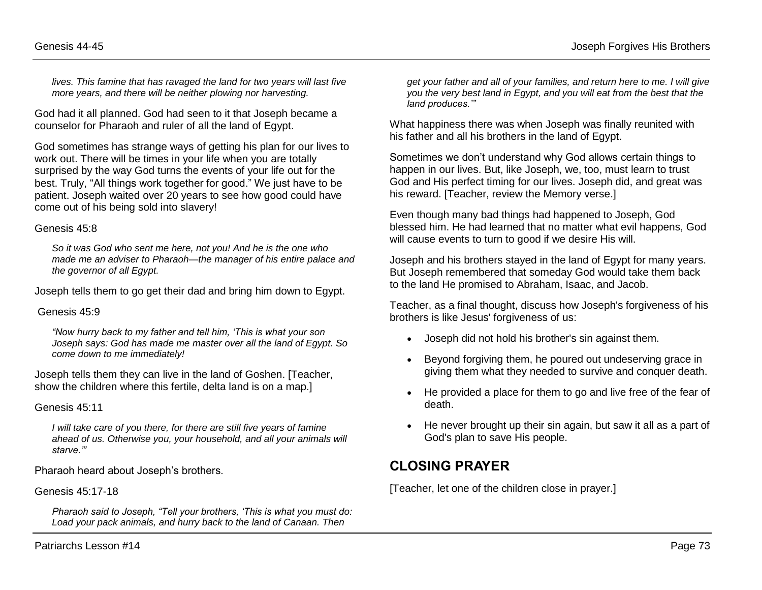*lives. This famine that has ravaged the land for two years will last five more years, and there will be neither plowing nor harvesting.* 

God had it all planned. God had seen to it that Joseph became a counselor for Pharaoh and ruler of all the land of Egypt.

God sometimes has strange ways of getting his plan for our lives to work out. There will be times in your life when you are totally surprised by the way God turns the events of your life out for the best. Truly, "All things work together for good." We just have to be patient. Joseph waited over 20 years to see how good could have come out of his being sold into slavery!

#### Genesis 45:8

*So it was God who sent me here, not you! And he is the one who made me an adviser to Pharaoh—the manager of his entire palace and the governor of all Egypt.*

Joseph tells them to go get their dad and bring him down to Egypt.

#### Genesis 45:9

*"Now hurry back to my father and tell him, 'This is what your son Joseph says: God has made me master over all the land of Egypt. So come down to me immediately!*

Joseph tells them they can live in the land of Goshen. [Teacher, show the children where this fertile, delta land is on a map.]

### Genesis 45:11

*I will take care of you there, for there are still five years of famine ahead of us. Otherwise you, your household, and all your animals will starve.'"*

Pharaoh heard about Joseph's brothers.

Genesis 45:17-18

*Pharaoh said to Joseph, "Tell your brothers, 'This is what you must do: Load your pack animals, and hurry back to the land of Canaan. Then* 

*get your father and all of your families, and return here to me. I will give you the very best land in Egypt, and you will eat from the best that the land produces.'"* 

What happiness there was when Joseph was finally reunited with his father and all his brothers in the land of Egypt.

Sometimes we don't understand why God allows certain things to happen in our lives. But, like Joseph, we, too, must learn to trust God and His perfect timing for our lives. Joseph did, and great was his reward. [Teacher, review the Memory verse.]

Even though many bad things had happened to Joseph, God blessed him. He had learned that no matter what evil happens, God will cause events to turn to good if we desire His will.

Joseph and his brothers stayed in the land of Egypt for many years. But Joseph remembered that someday God would take them back to the land He promised to Abraham, Isaac, and Jacob.

Teacher, as a final thought, discuss how Joseph's forgiveness of his brothers is like Jesus' forgiveness of us:

- Joseph did not hold his brother's sin against them.
- Beyond forgiving them, he poured out undeserving grace in giving them what they needed to survive and conquer death.
- He provided a place for them to go and live free of the fear of death.
- He never brought up their sin again, but saw it all as a part of God's plan to save His people.

# **CLOSING PRAYER**

[Teacher, let one of the children close in prayer.]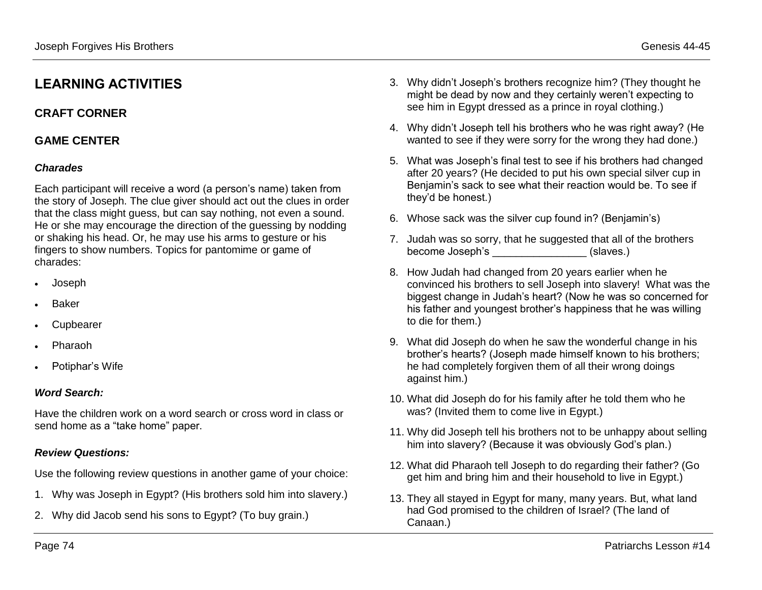# **LEARNING ACTIVITIES**

## **CRAFT CORNER**

## **GAME CENTER**

## *Charades*

Each participant will receive a word (a person's name) taken from the story of Joseph. The clue giver should act out the clues in order that the class might guess, but can say nothing, not even a sound. He or she may encourage the direction of the guessing by nodding or shaking his head. Or, he may use his arms to gesture or his fingers to show numbers. Topics for pantomime or game of charades:

- Joseph
- Baker
- Cupbearer
- Pharaoh
- Potiphar's Wife

### *Word Search:*

Have the children work on a word search or cross word in class or send home as a "take home" paper.

### *Review Questions:*

Use the following review questions in another game of your choice:

- 1. Why was Joseph in Egypt? (His brothers sold him into slavery.)
- 2. Why did Jacob send his sons to Egypt? (To buy grain.)
- 3. Why didn't Joseph's brothers recognize him? (They thought he might be dead by now and they certainly weren't expecting to see him in Egypt dressed as a prince in royal clothing.)
- 4. Why didn't Joseph tell his brothers who he was right away? (He wanted to see if they were sorry for the wrong they had done.)
- 5. What was Joseph's final test to see if his brothers had changed after 20 years? (He decided to put his own special silver cup in Benjamin's sack to see what their reaction would be. To see if they'd be honest.)
- 6. Whose sack was the silver cup found in? (Benjamin's)
- 7. Judah was so sorry, that he suggested that all of the brothers become Joseph's (slaves.)
- 8. How Judah had changed from 20 years earlier when he convinced his brothers to sell Joseph into slavery! What was the biggest change in Judah's heart? (Now he was so concerned for his father and youngest brother's happiness that he was willing to die for them.)
- 9. What did Joseph do when he saw the wonderful change in his brother's hearts? (Joseph made himself known to his brothers; he had completely forgiven them of all their wrong doings against him.)
- 10. What did Joseph do for his family after he told them who he was? (Invited them to come live in Egypt.)
- 11. Why did Joseph tell his brothers not to be unhappy about selling him into slavery? (Because it was obviously God's plan.)
- 12. What did Pharaoh tell Joseph to do regarding their father? (Go get him and bring him and their household to live in Egypt.)
- 13. They all stayed in Egypt for many, many years. But, what land had God promised to the children of Israel? (The land of Canaan.)